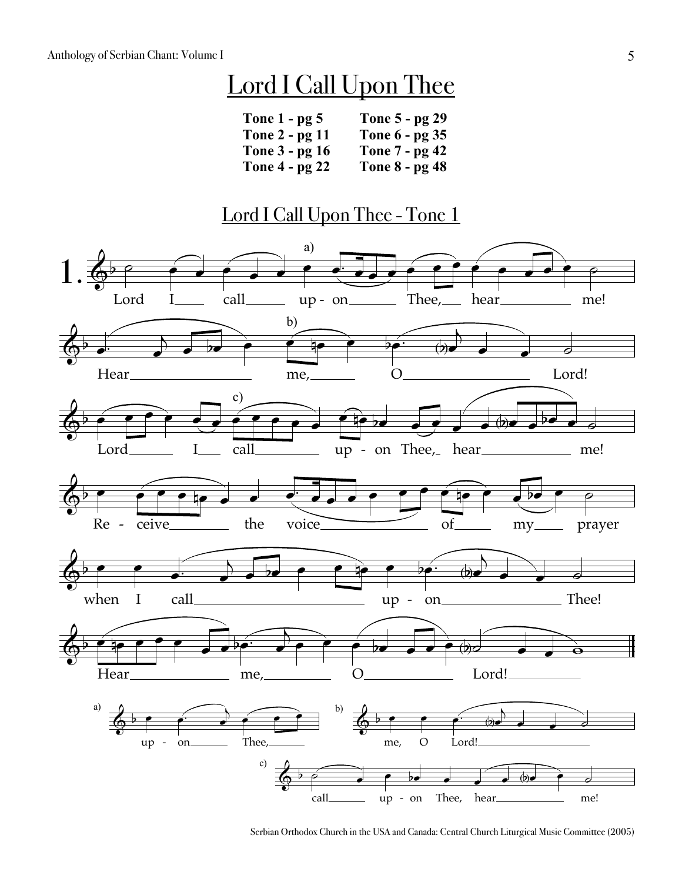## Lord I Call Upon Thee

| Tone $1 - p g 5$      | Tone 5 - pg 29        |
|-----------------------|-----------------------|
| Tone 2 - pg 11        | Tone 6 - pg 35        |
| Tone 3 - pg 16        | Tone 7 - pg 42        |
| <b>Tone 4 - pg 22</b> | <b>Tone 8 - pg 48</b> |

## Lord I Call Upon Thee - Tone 1

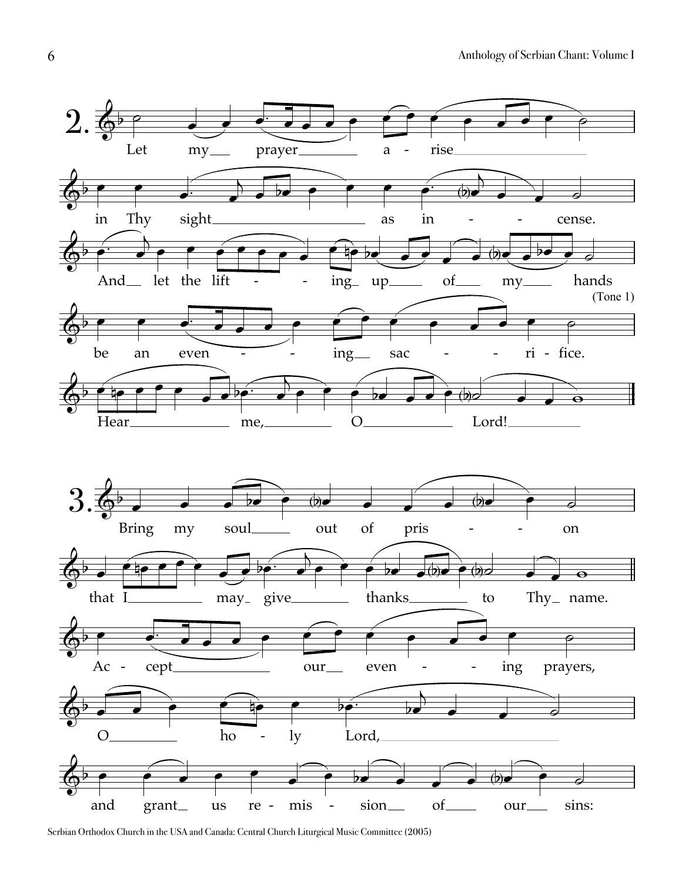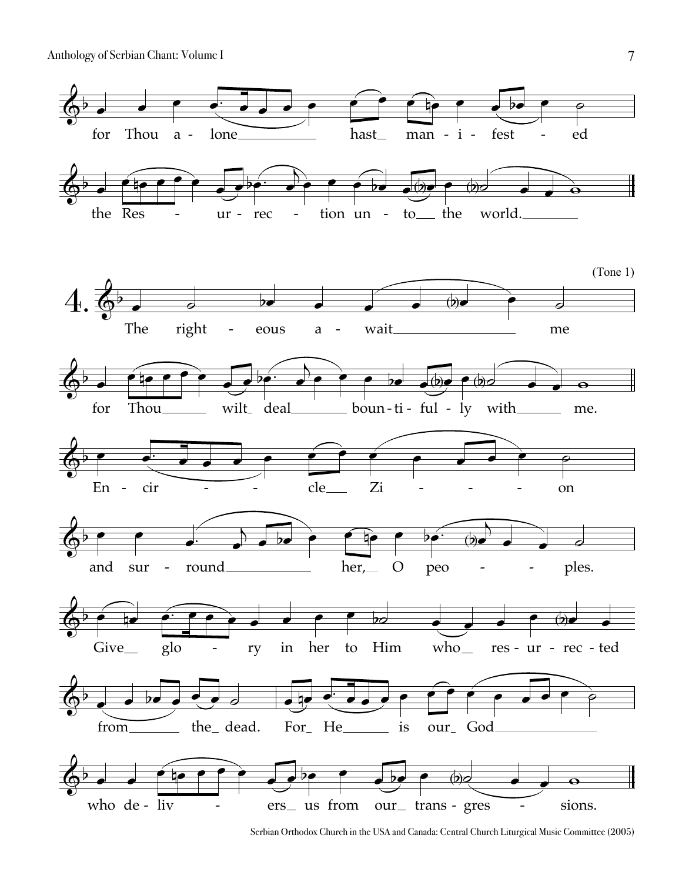

Serbian Orthodox Church in the USA and Canada: Central Church Liturgical Music Committee (2005)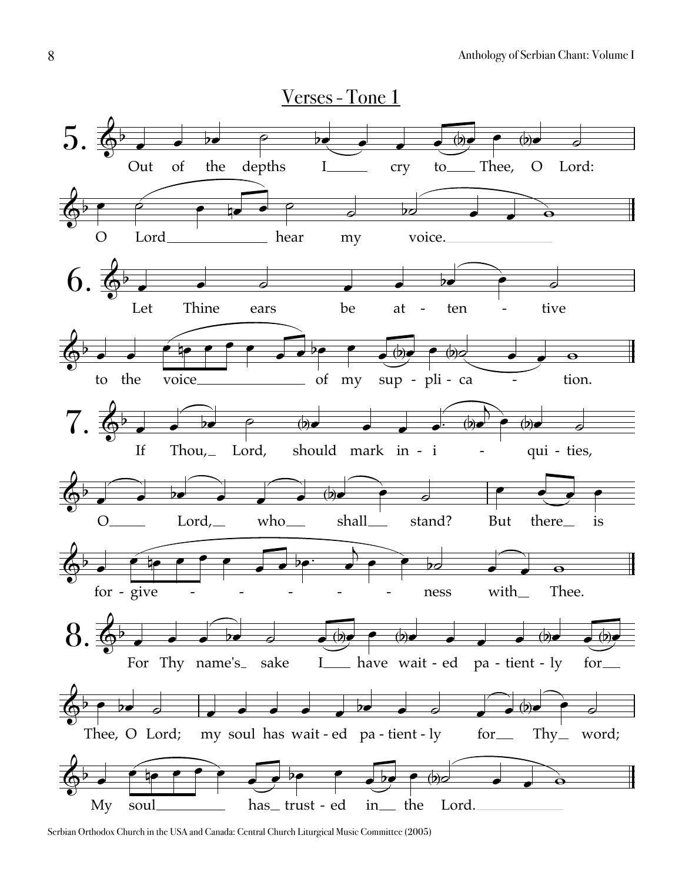

Serbian Orthodox Church in the USA and Canada: Central Church Liturgical Music Committee (2005)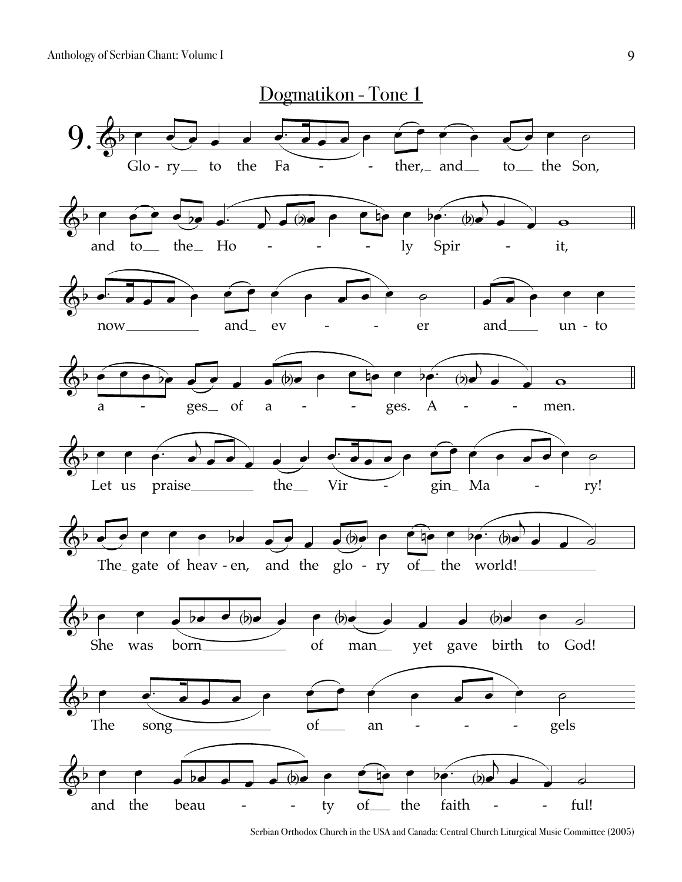

Serbian Orthodox Church in the USA and Canada: Central Church Liturgical Music Committee (2005)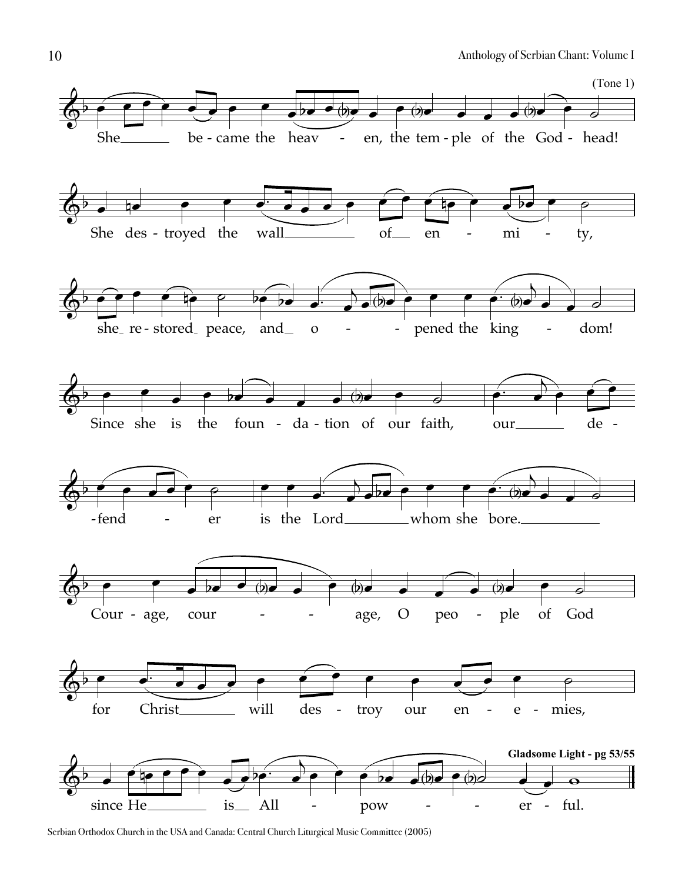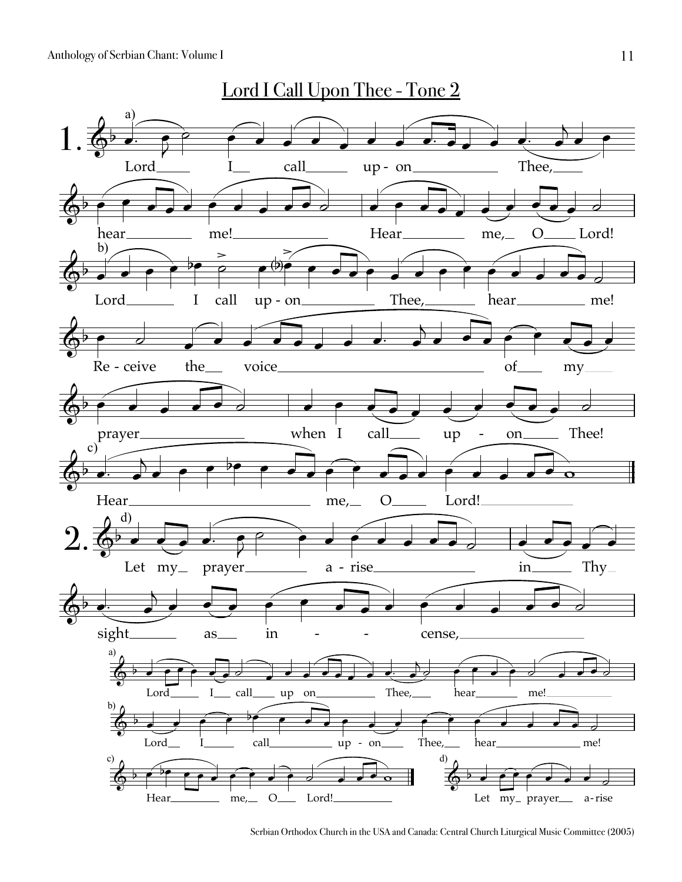

Serbian Orthodox Church in the USA and Canada: Central Church Liturgical Music Committee (2005)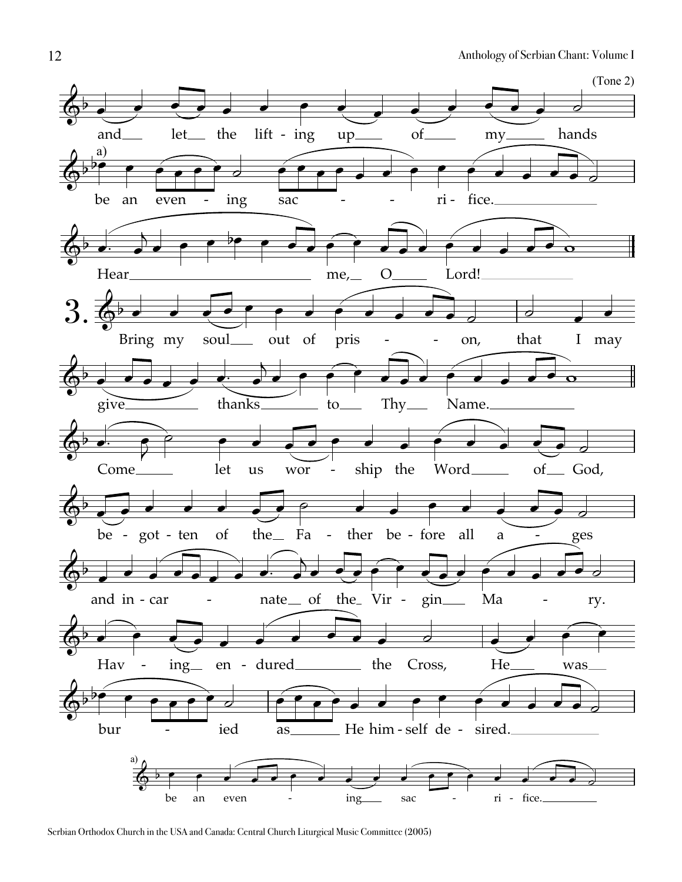

Serbian Orthodox Church in the USA and Canada: Central Church Liturgical Music Committee (2005)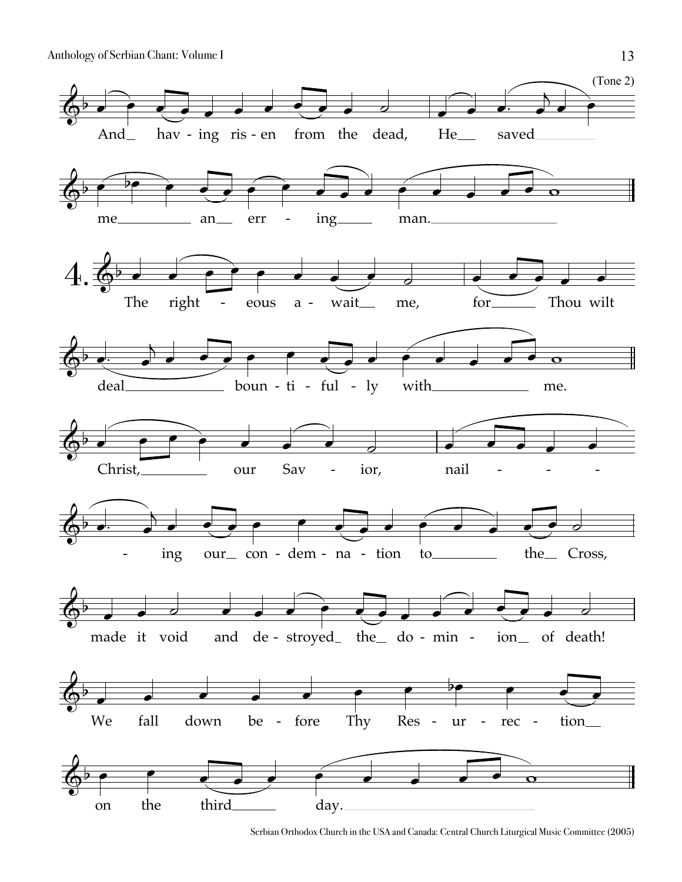

Serbian Orthodox Church in the USA and Canada: Central Church Liturgical Music Committee (2005)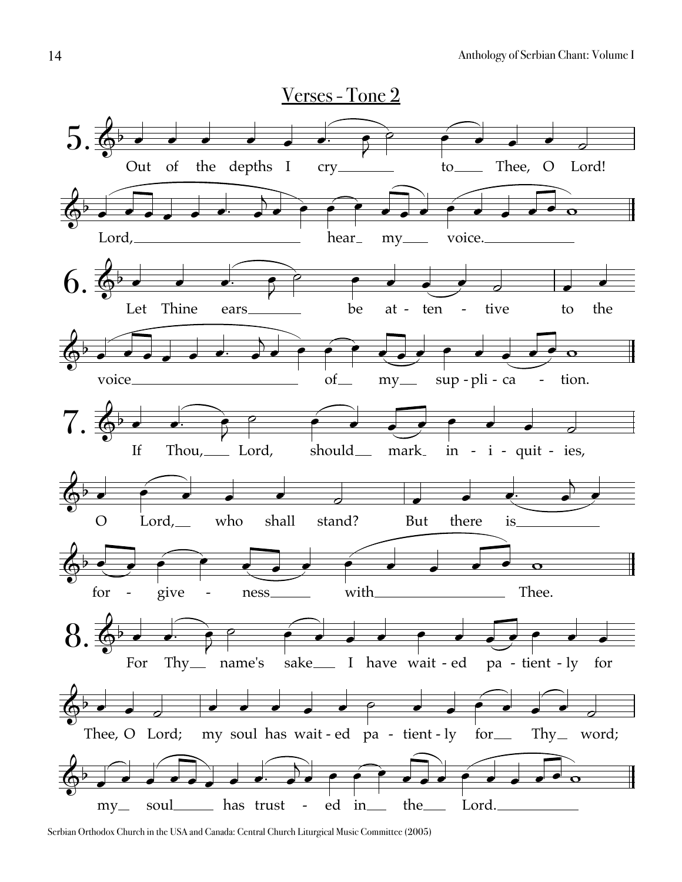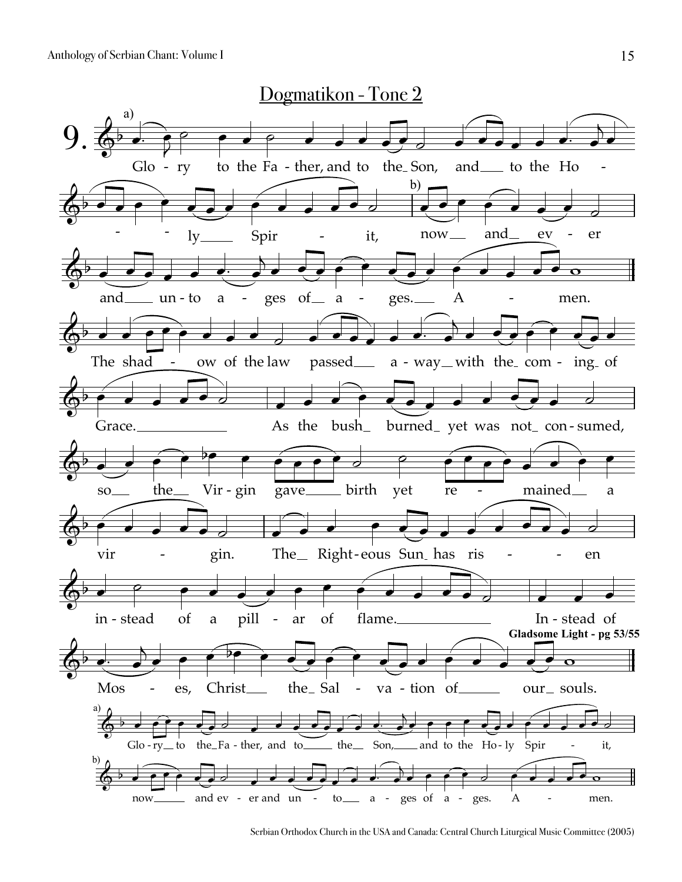

Serbian Orthodox Church in the USA and Canada: Central Church Liturgical Music Committee (2005)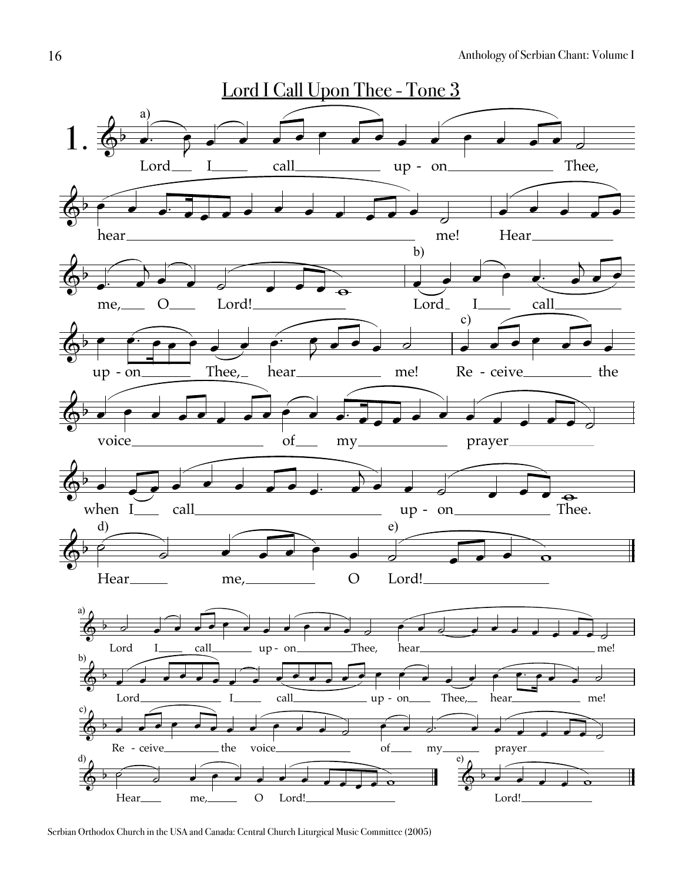

Serbian Orthodox Church in the USA and Canada: Central Church Liturgical Music Committee (2005)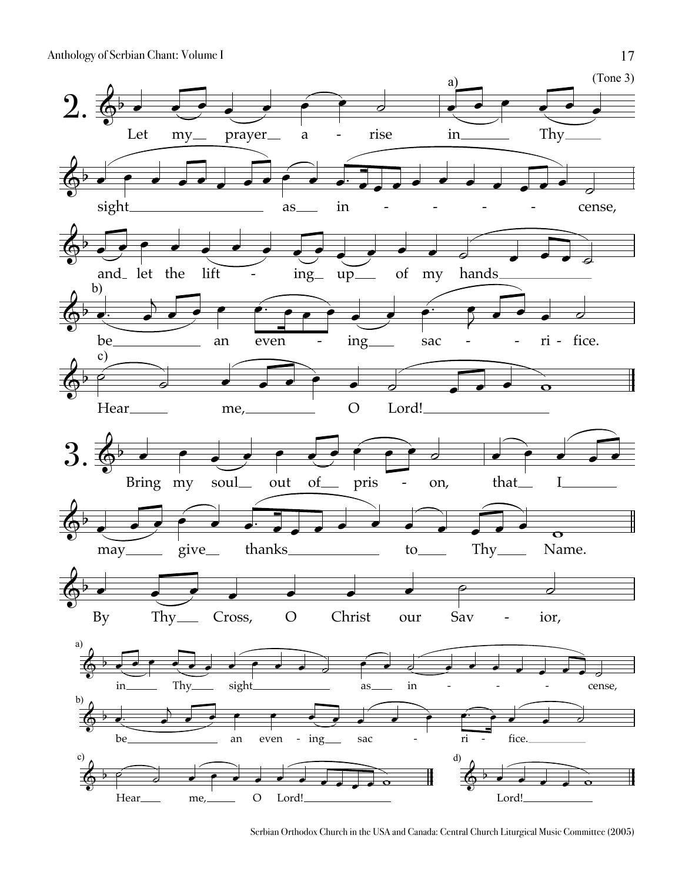

Serbian Orthodox Church in the USA and Canada: Central Church Liturgical Music Committee (2005)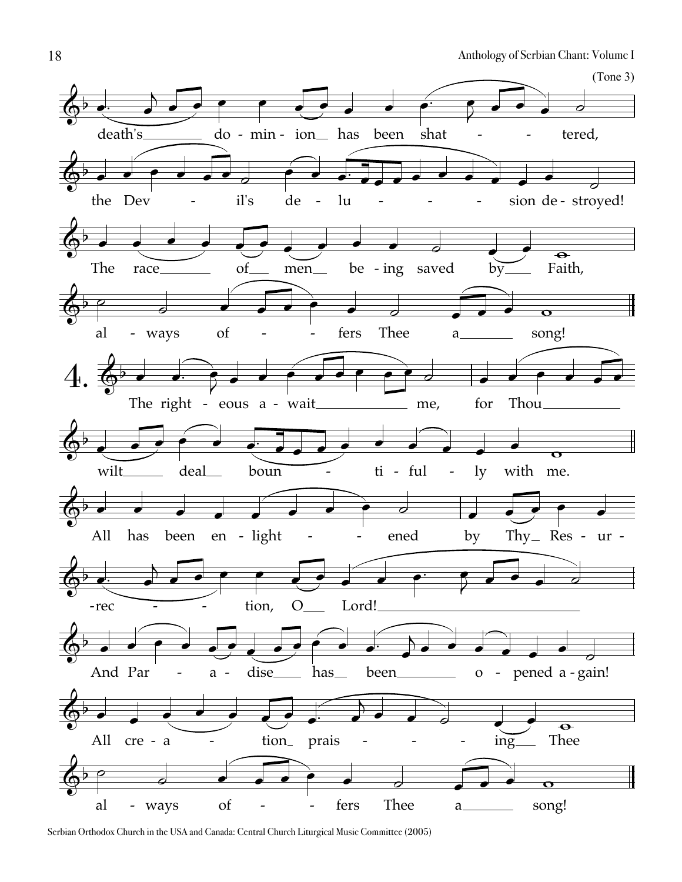

Serbian Orthodox Church in the USA and Canada: Central Church Liturgical Music Committee (2005)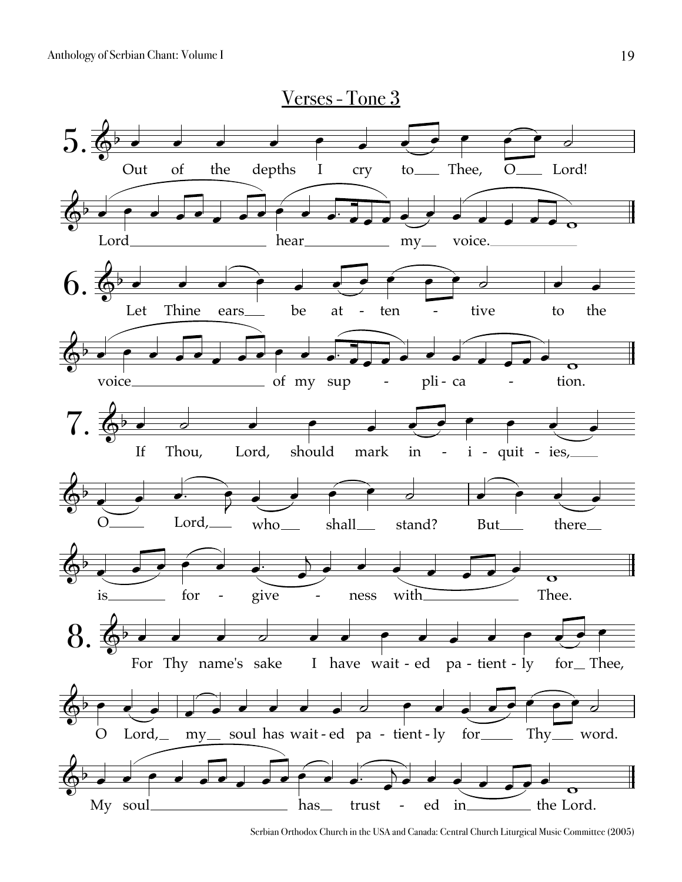

Serbian Orthodox Church in the USA and Canada: Central Church Liturgical Music Committee (2005)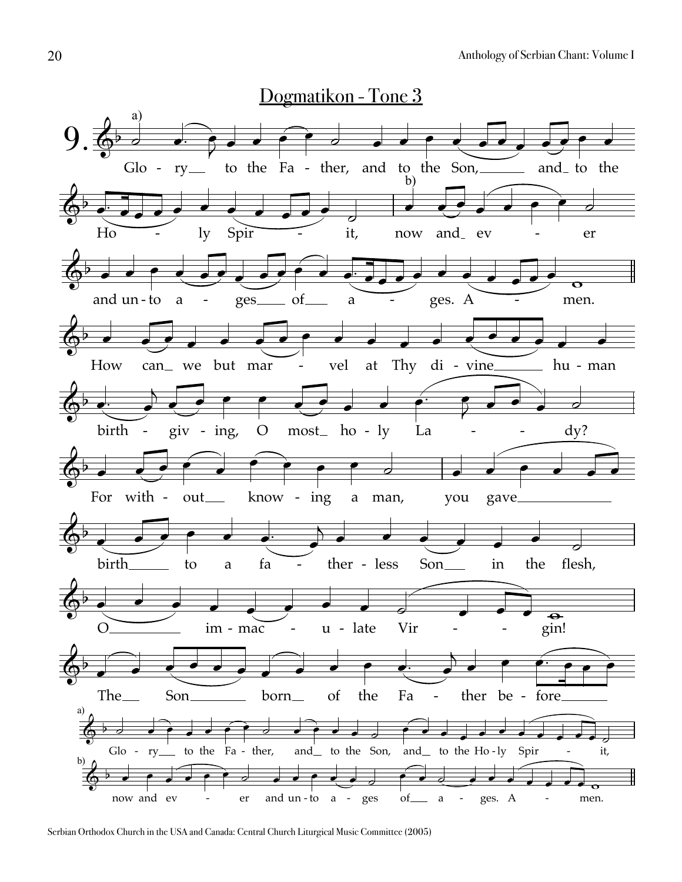

Serbian Orthodox Church in the USA and Canada: Central Church Liturgical Music Committee (2005)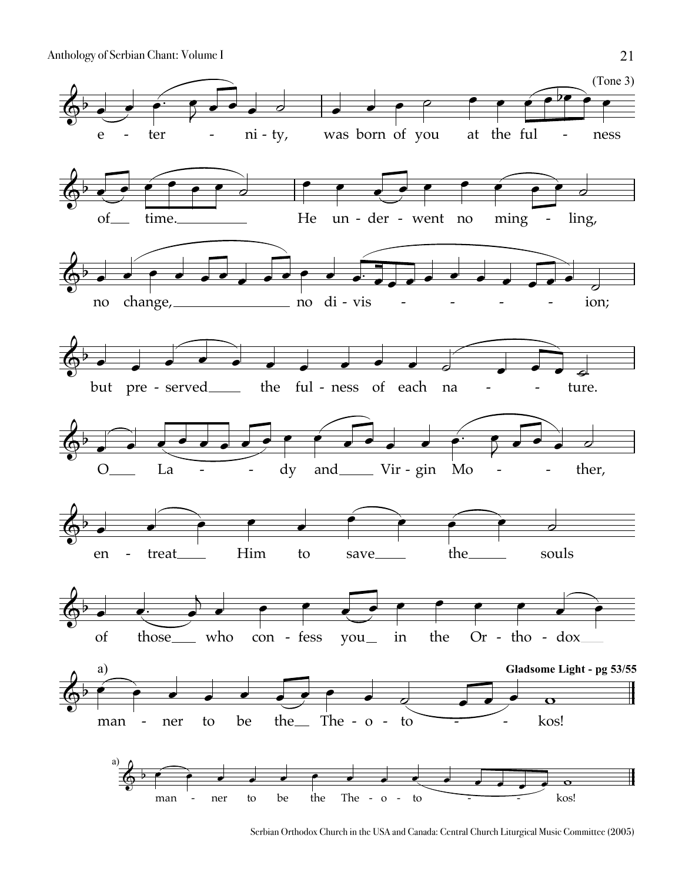

Serbian Orthodox Church in the USA and Canada: Central Church Liturgical Music Committee (2005)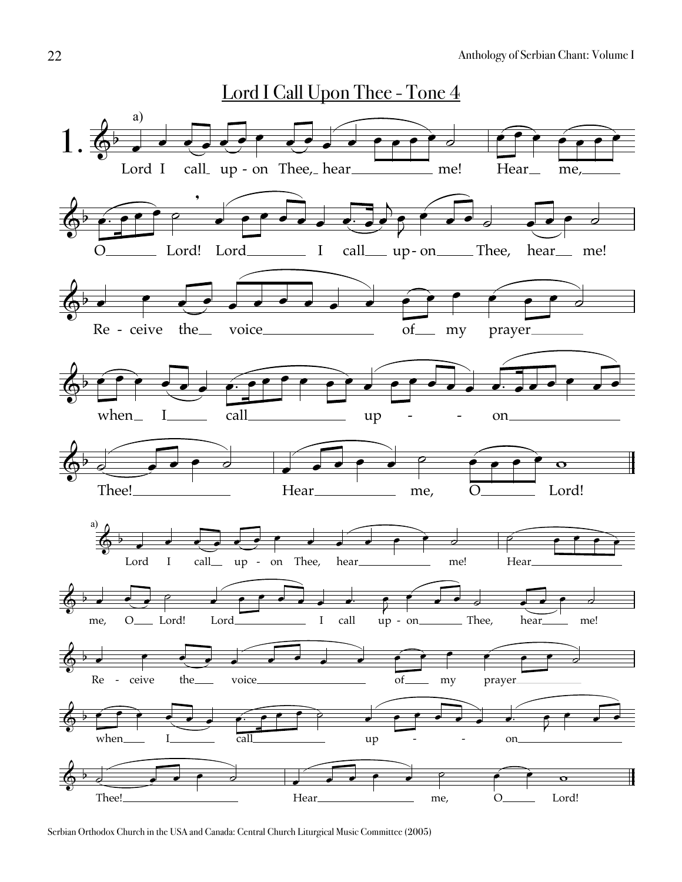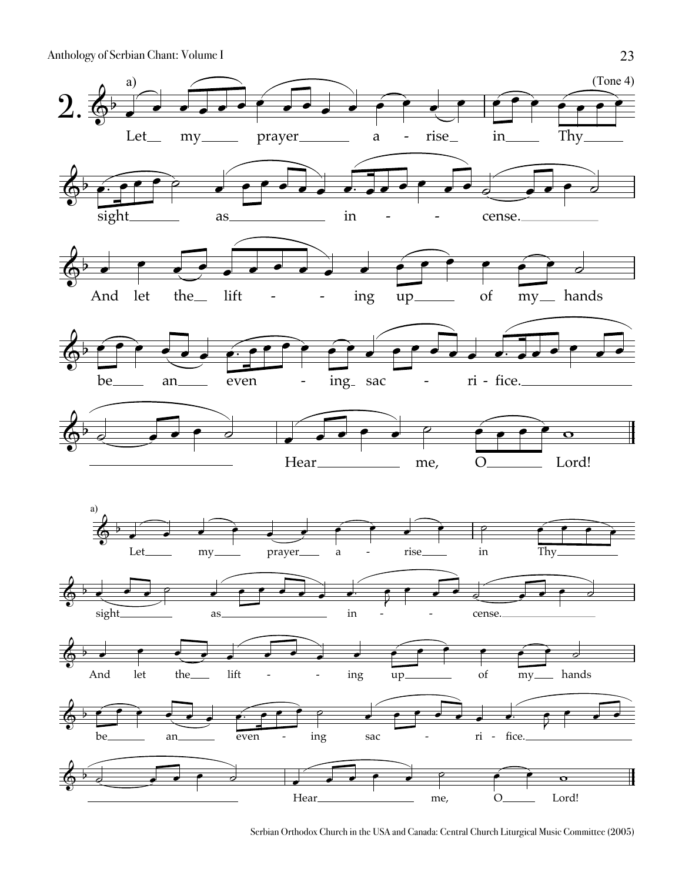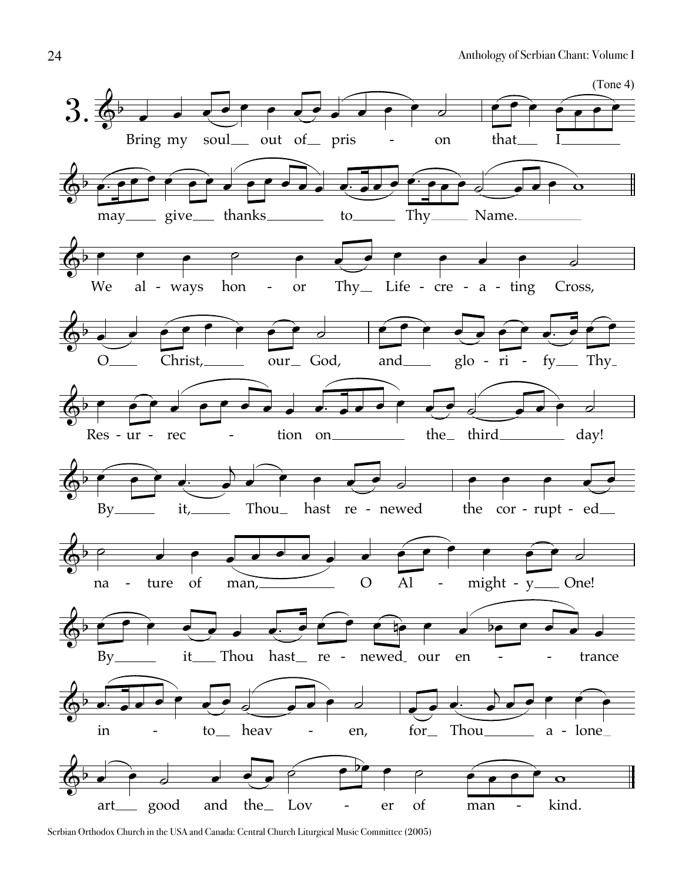

Serbian Orthodox Church in the USA and Canada: Central Church Liturgical Music Committee (2005)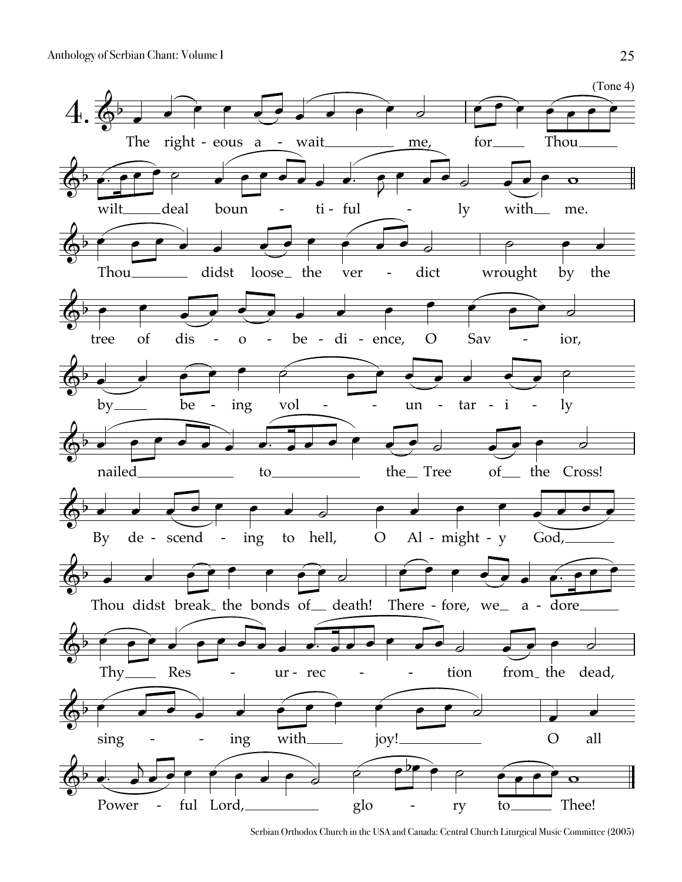

Serbian Orthodox Church in the USA and Canada: Central Church Liturgical Music Committee (2005)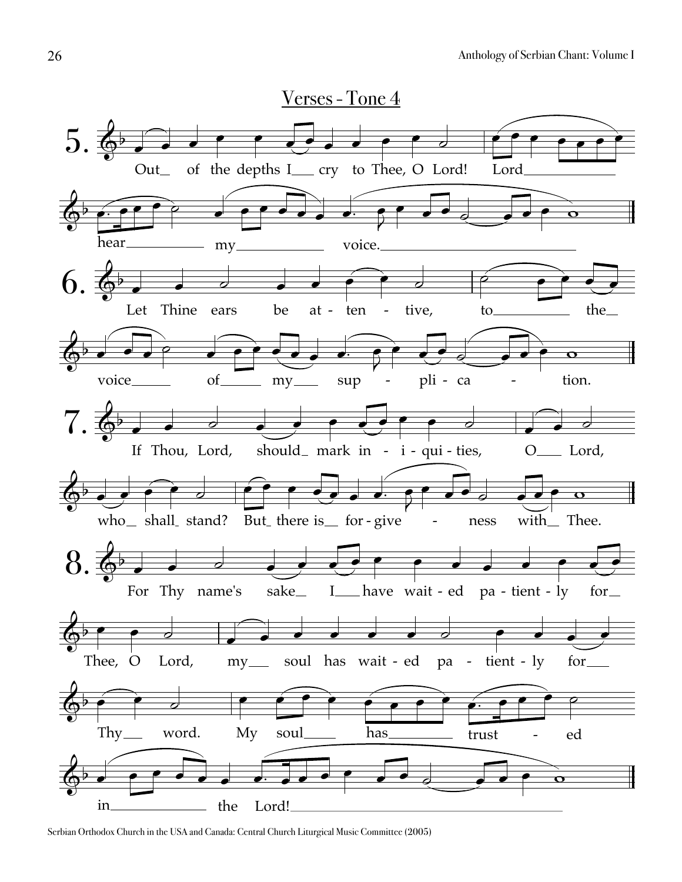

Serbian Orthodox Church in the USA and Canada: Central Church Liturgical Music Committee (2005)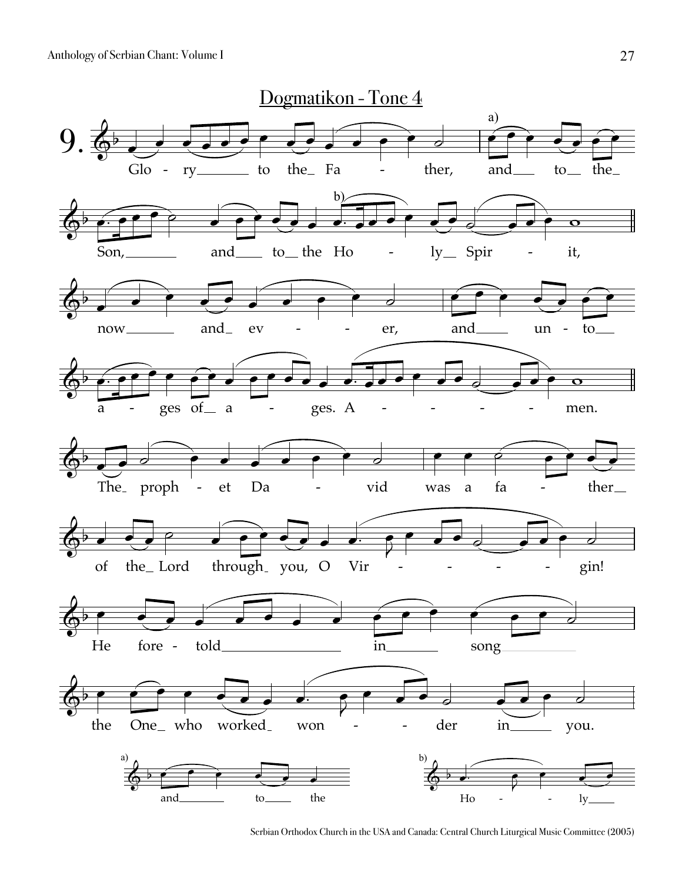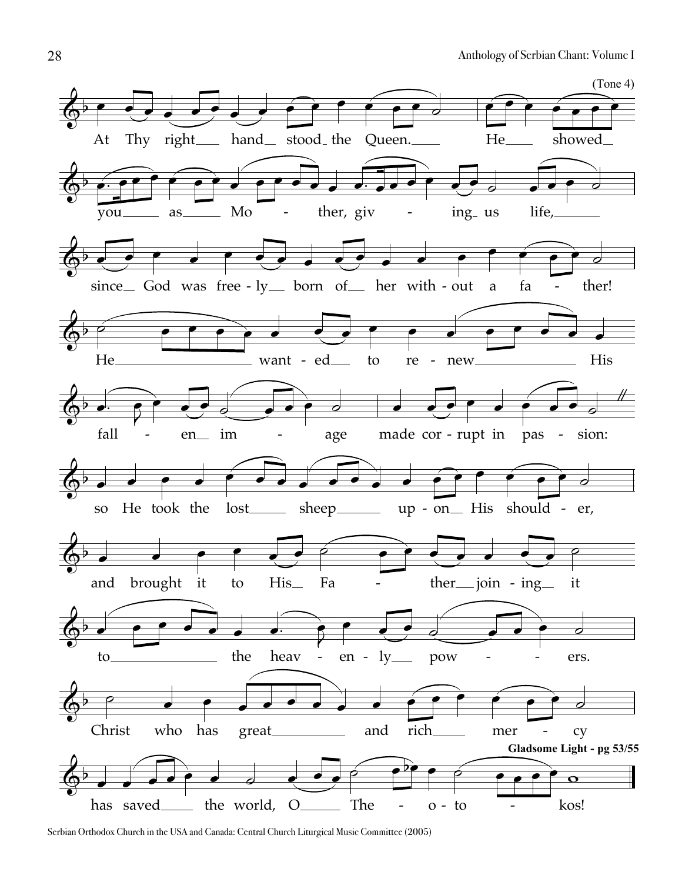

Serbian Orthodox Church in the USA and Canada: Central Church Liturgical Music Committee (2005)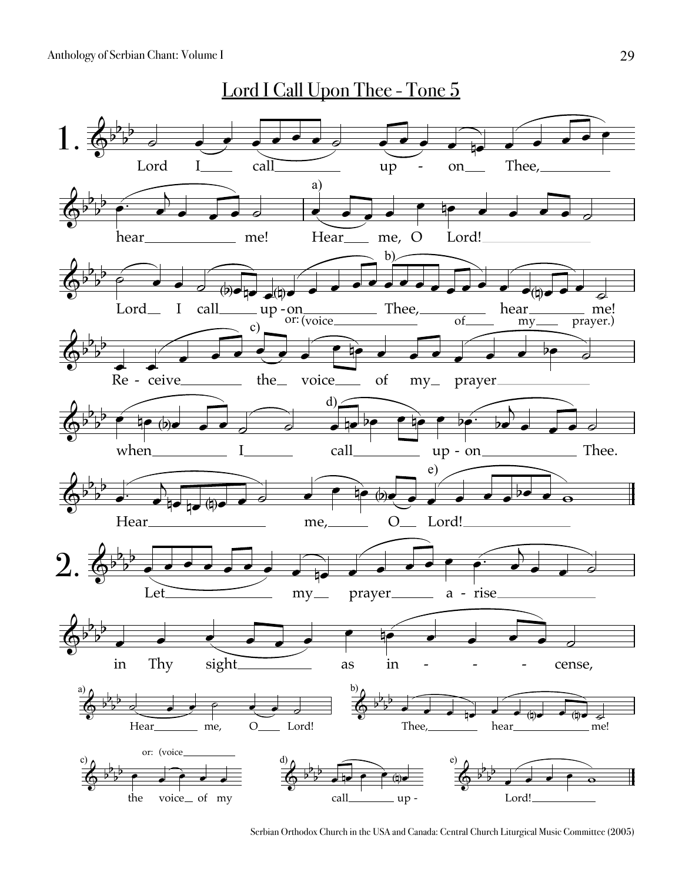

Serbian Orthodox Church in the USA and Canada: Central Church Liturgical Music Committee (2005)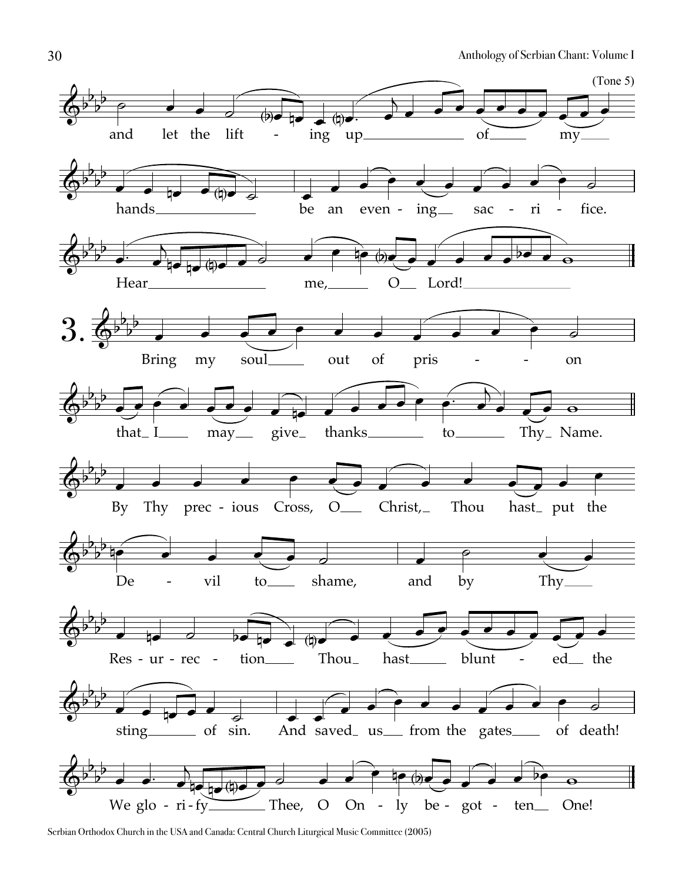

Serbian Orthodox Church in the USA and Canada: Central Church Liturgical Music Committee (2005)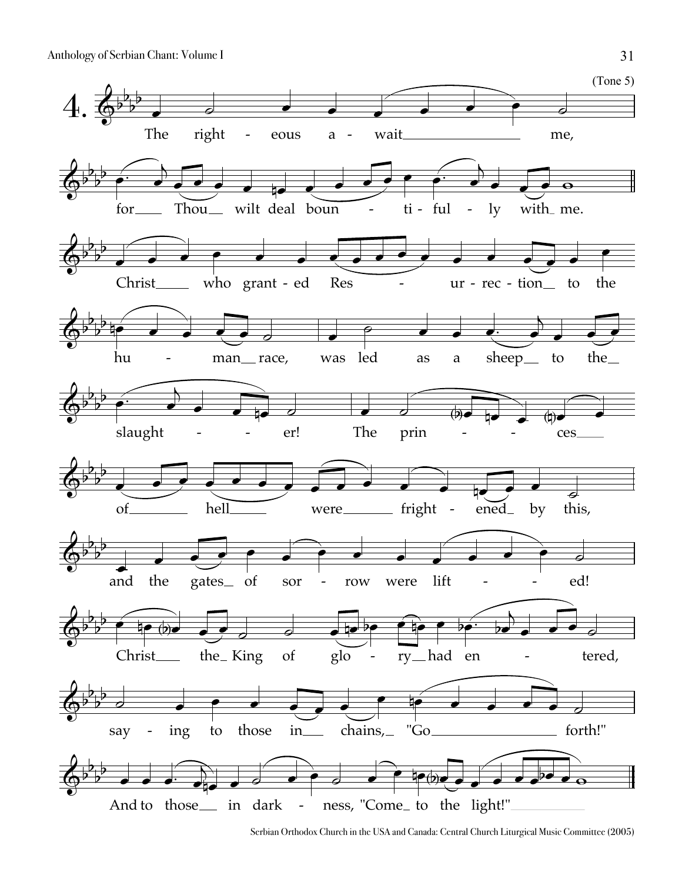

Serbian Orthodox Church in the USA and Canada: Central Church Liturgical Music Committee (2005)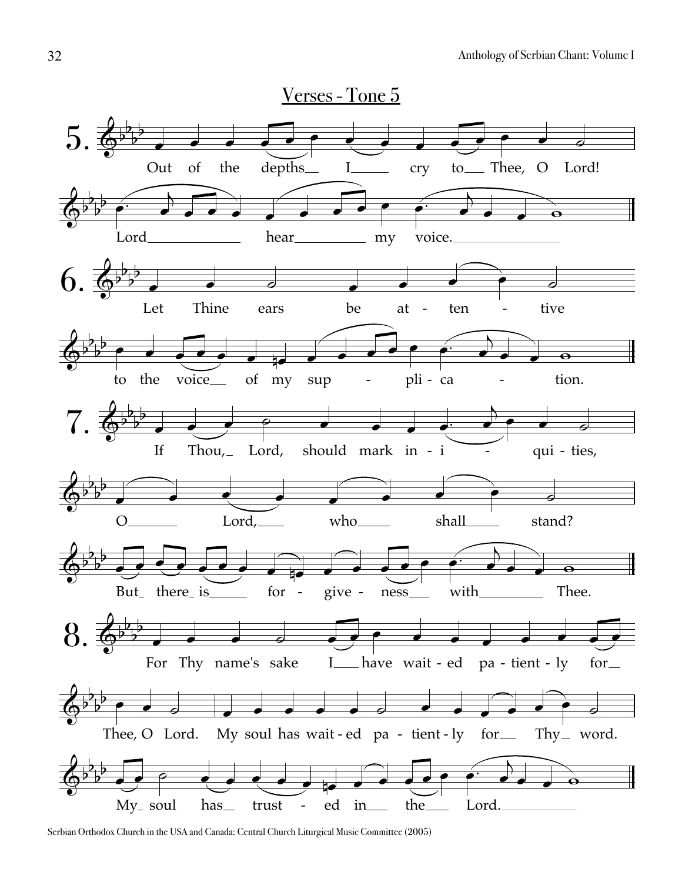

Serbian Orthodox Church in the USA and Canada: Central Church Liturgical Music Committee (2005)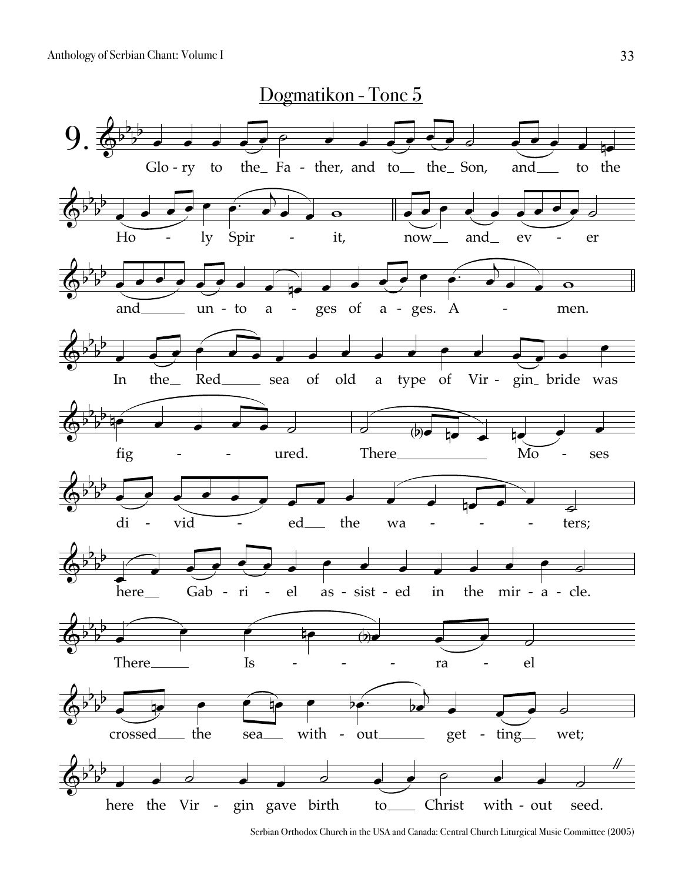

Serbian Orthodox Church in the USA and Canada: Central Church Liturgical Music Committee (2005)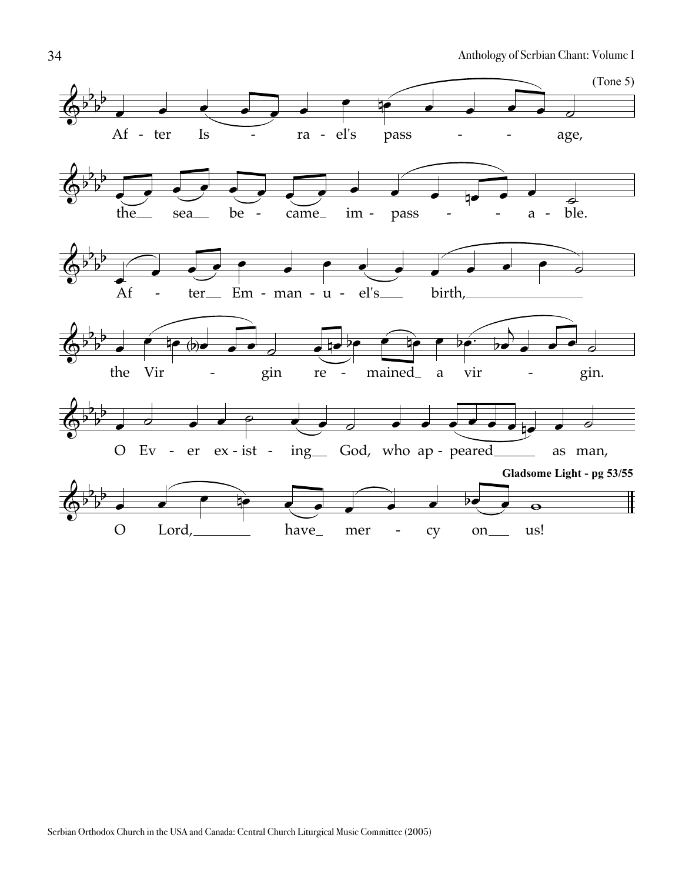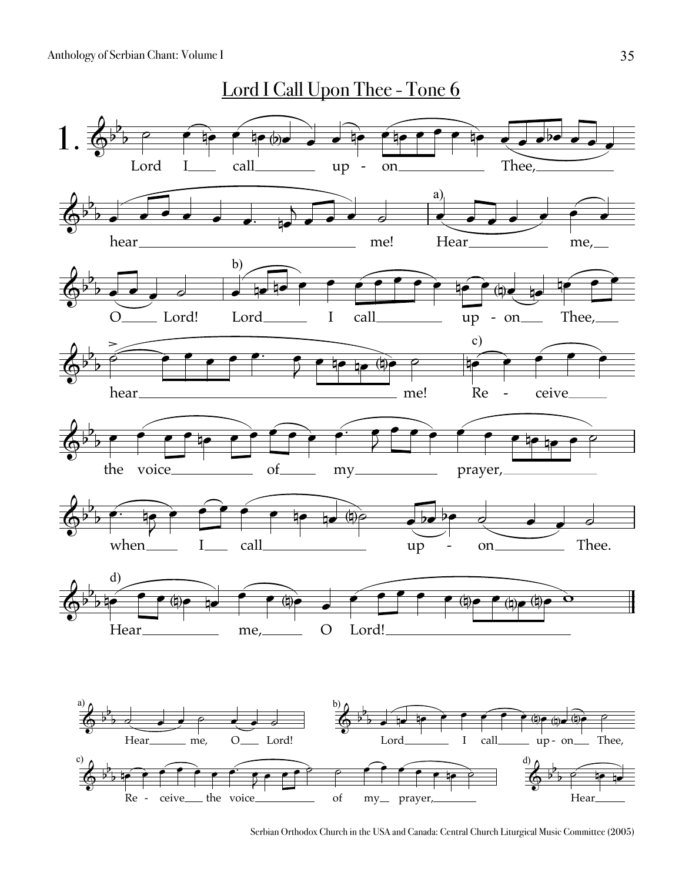

Serbian Orthodox Church in the USA and Canada: Central Church Liturgical Music Committee (2005)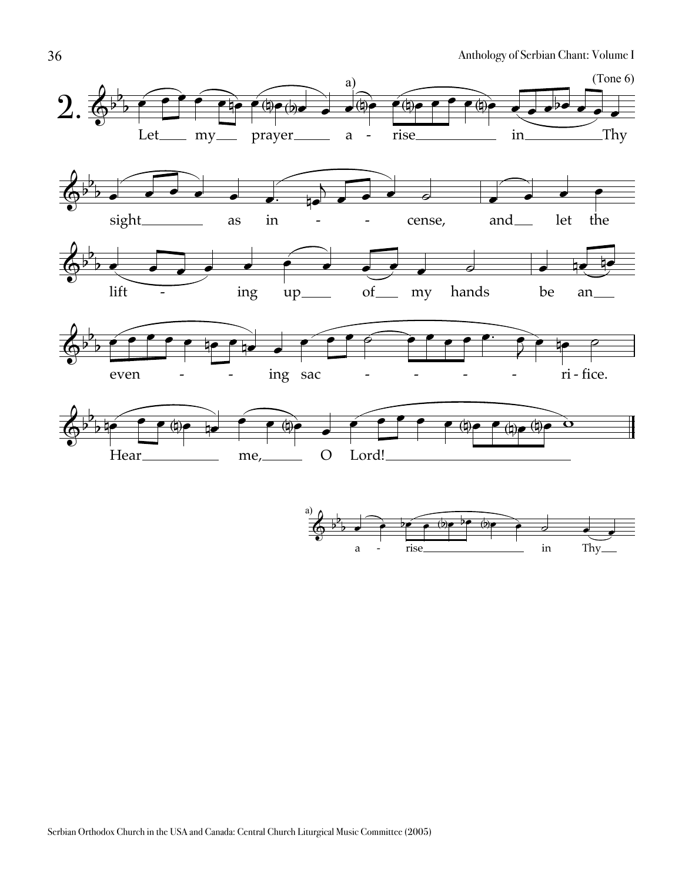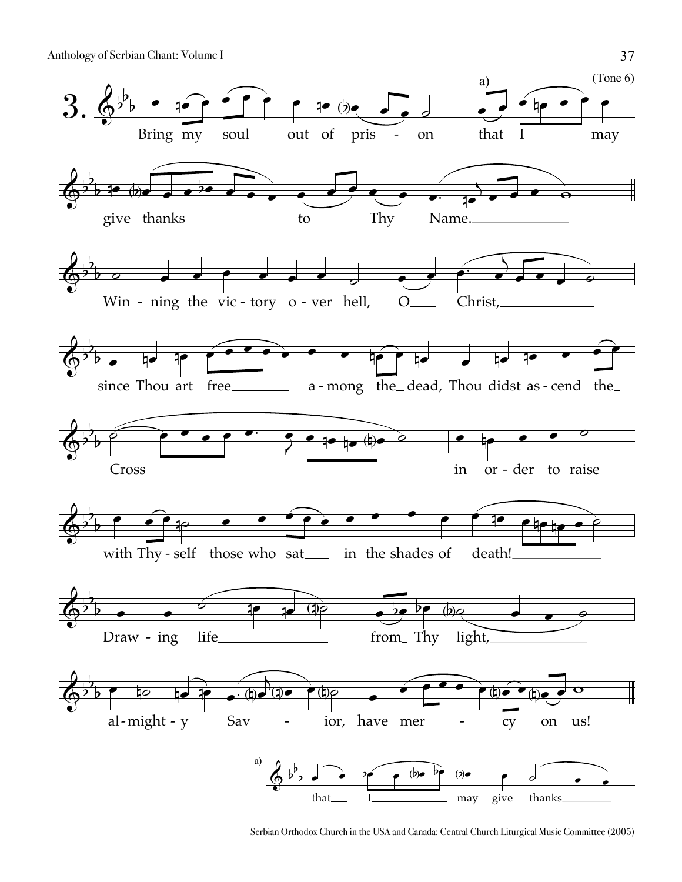

Serbian Orthodox Church in the USA and Canada: Central Church Liturgical Music Committee (2005)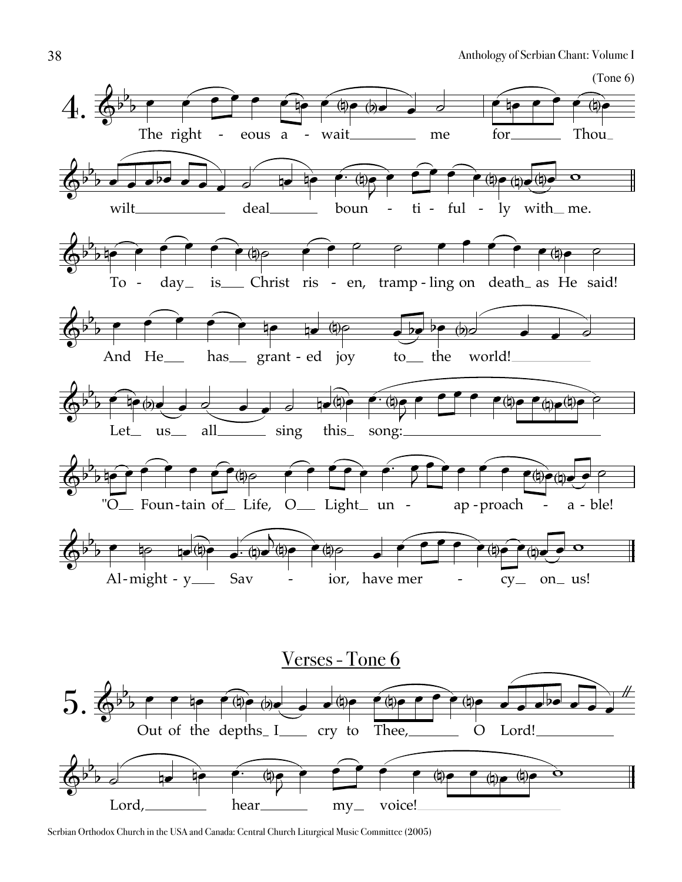

Serbian Orthodox Church in the USA and Canada: Central Church Liturgical Music Committee (2005)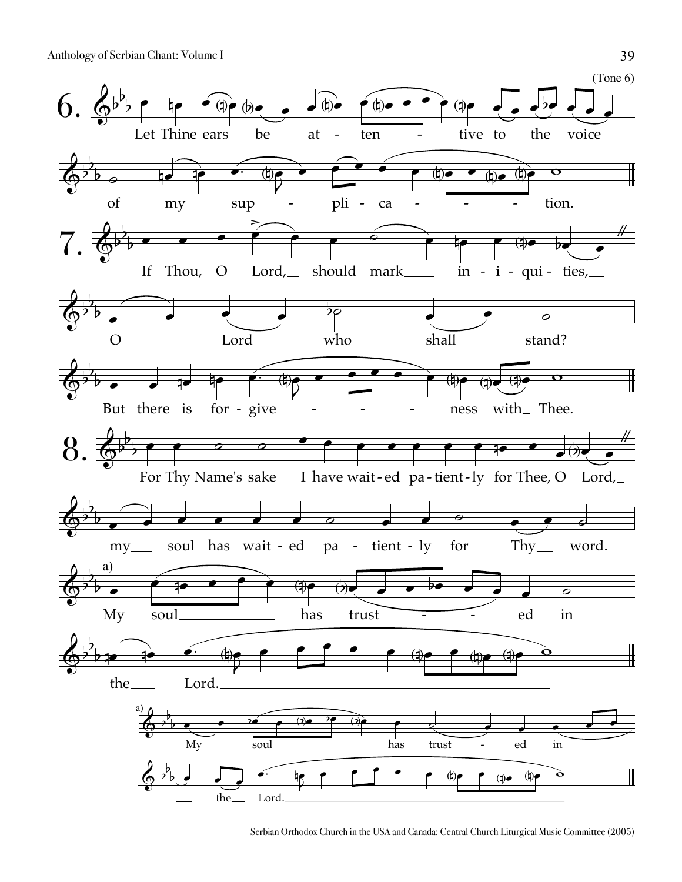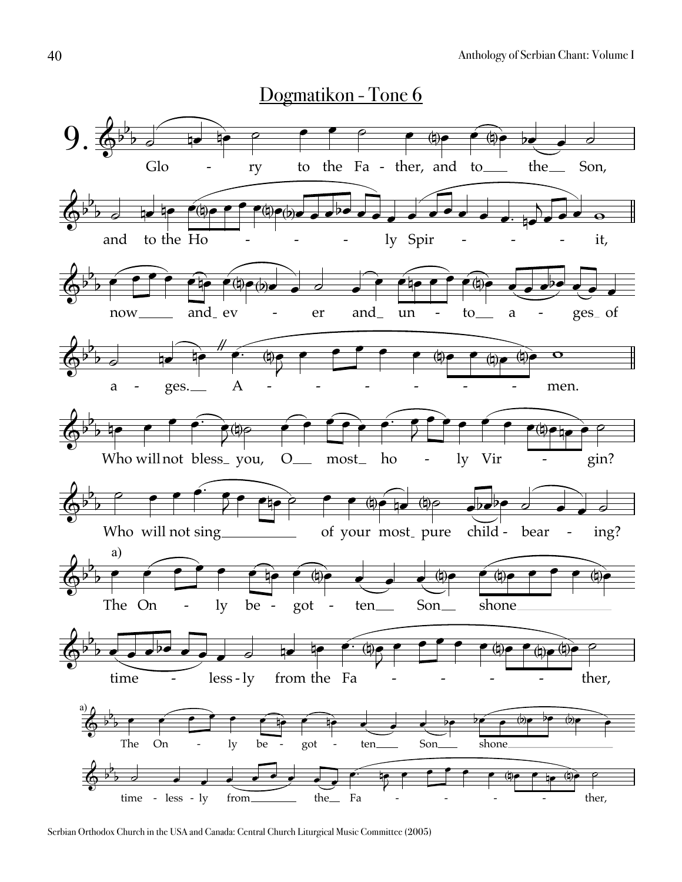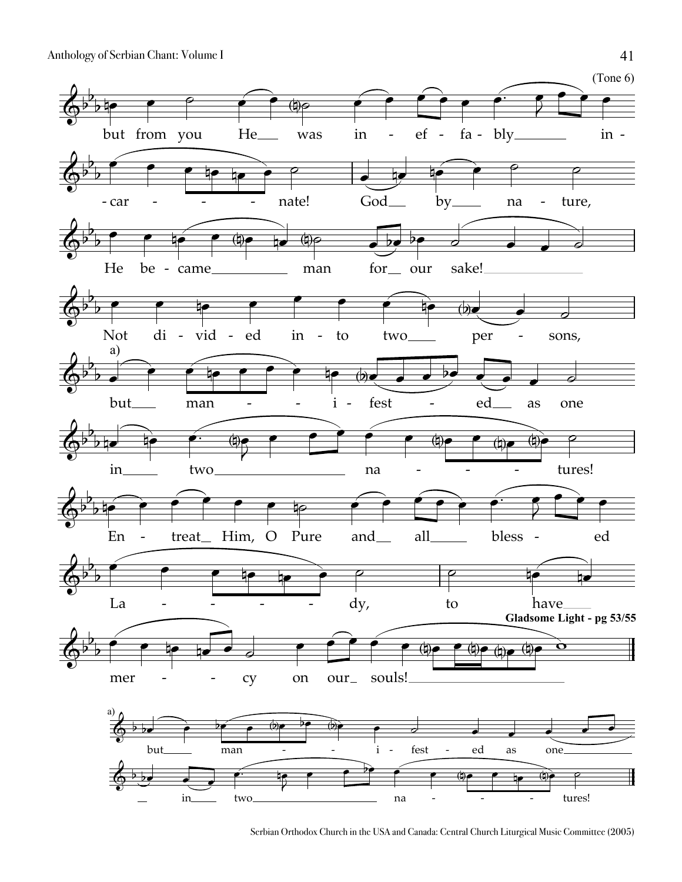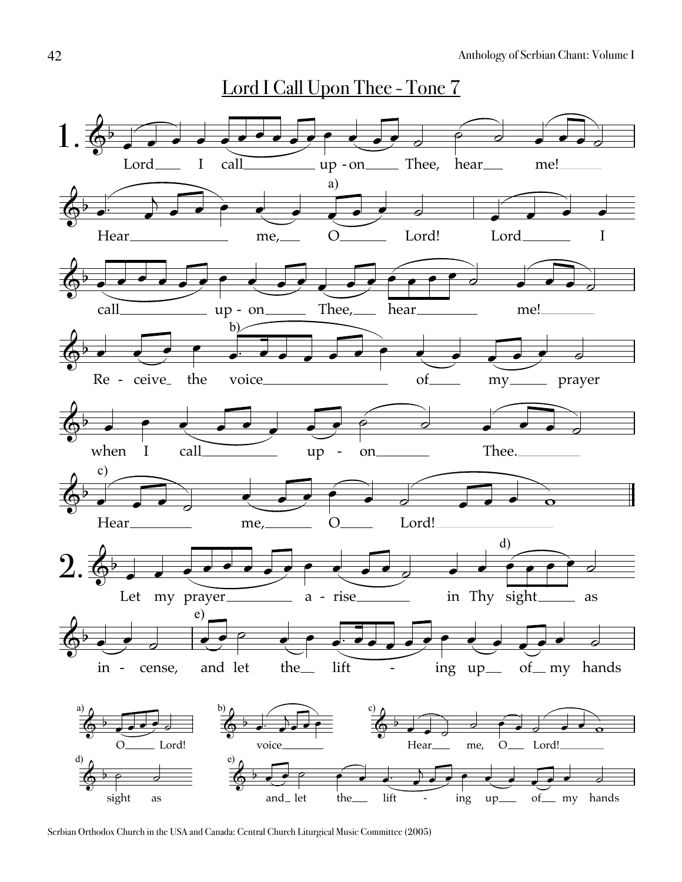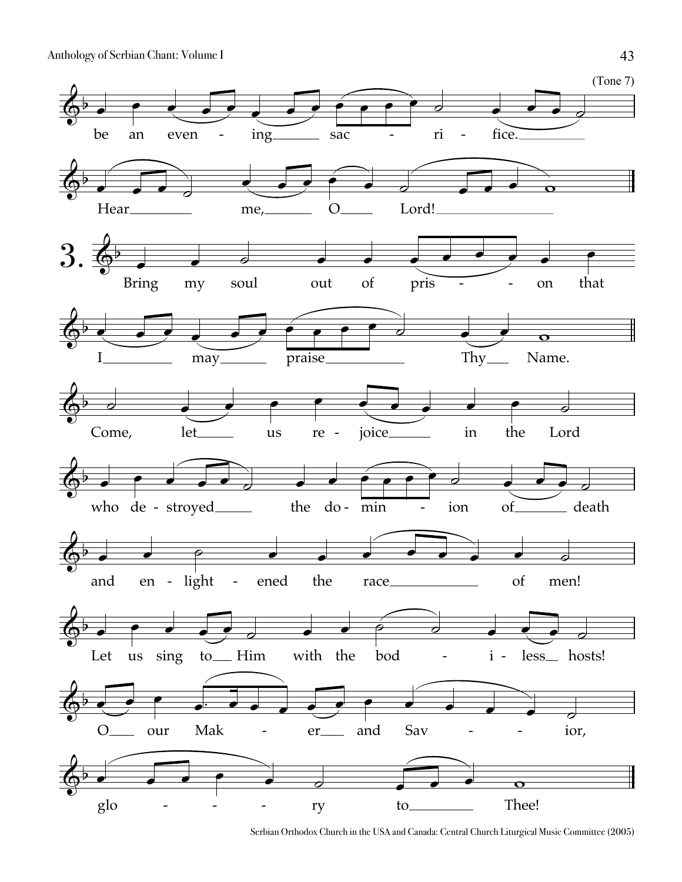

Serbian Orthodox Church in the USA and Canada: Central Church Liturgical Music Committee (2005)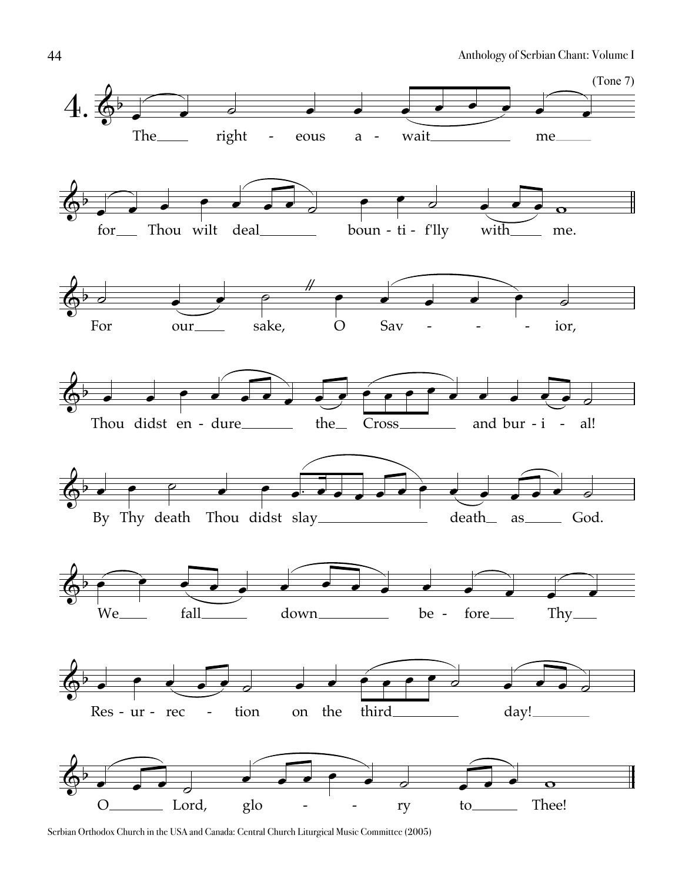

Serbian Orthodox Church in the USA and Canada: Central Church Liturgical Music Committee (2005)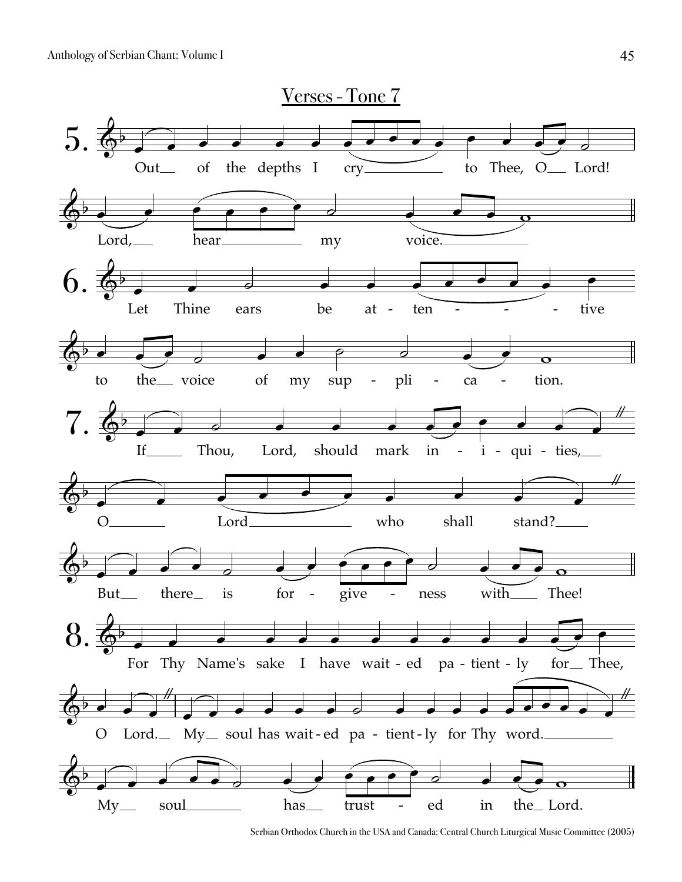

Serbian Orthodox Church in the USA and Canada: Central Church Liturgical Music Committee (2005)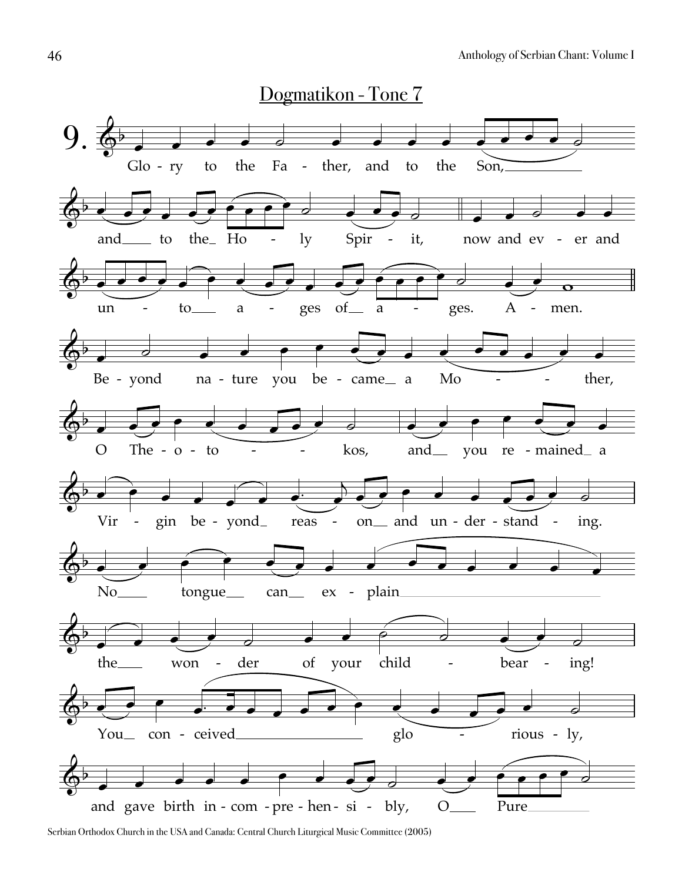

Serbian Orthodox Church in the USA and Canada: Central Church Liturgical Music Committee (2005)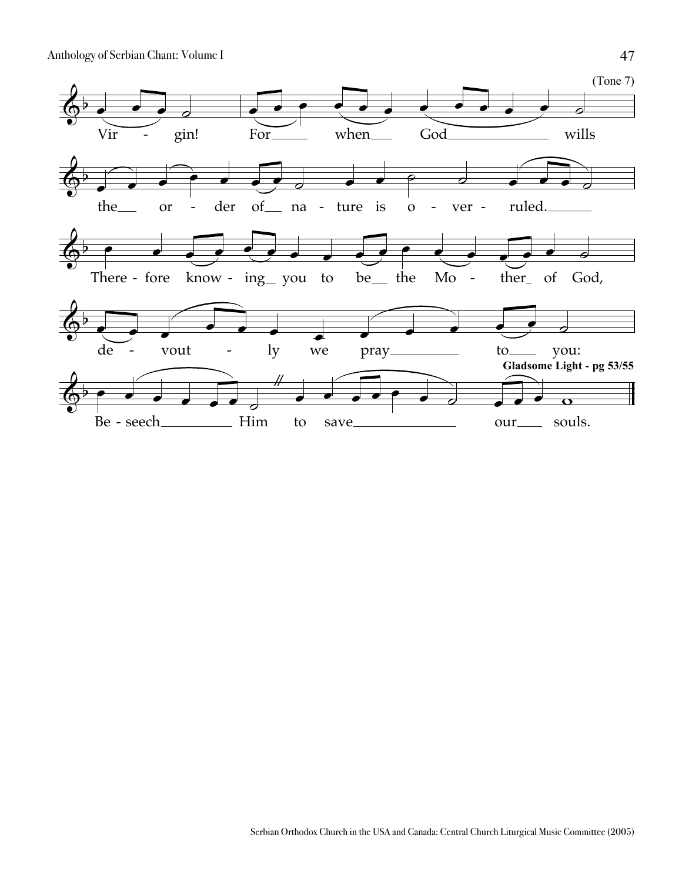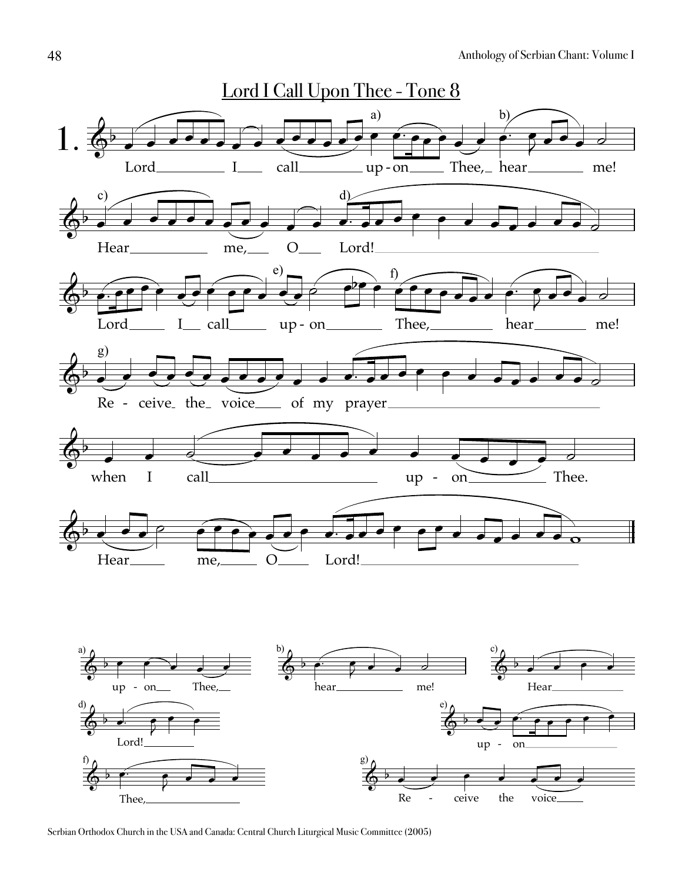

Serbian Orthodox Church in the USA and Canada: Central Church Liturgical Music Committee (2005)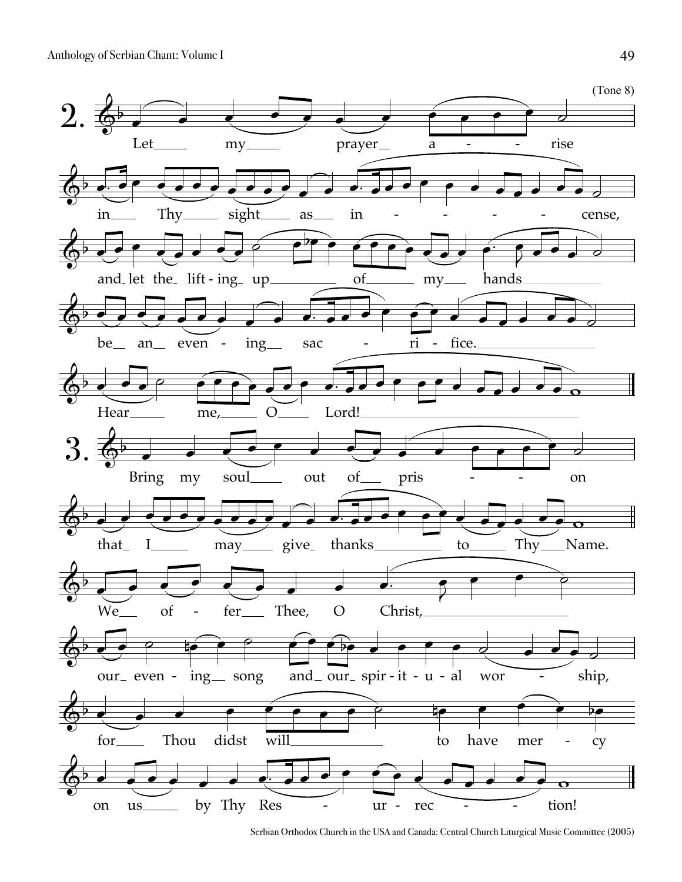

Serbian Orthodox Church in the USA and Canada: Central Church Liturgical Music Committee (2005)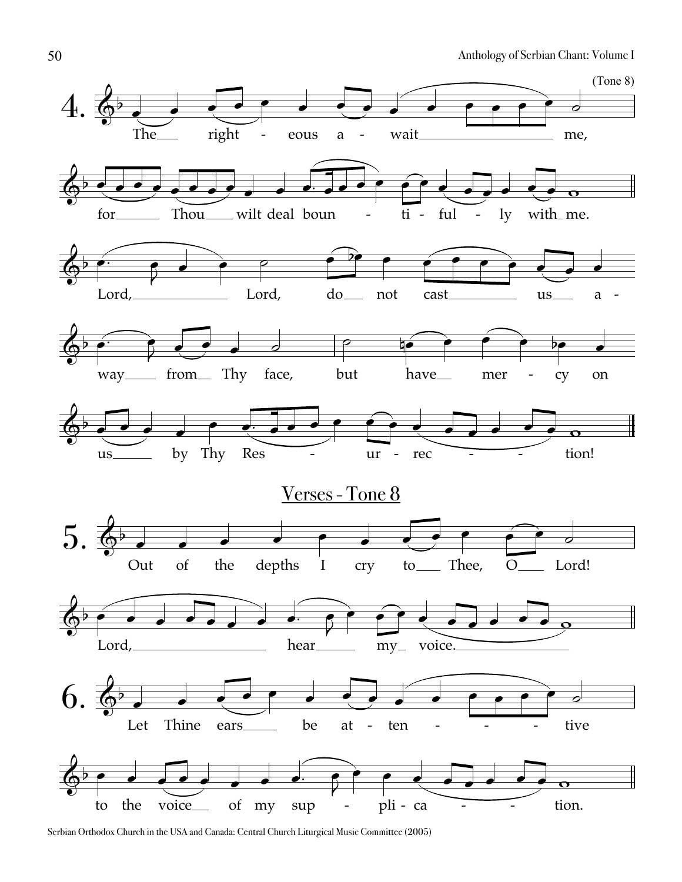

Serbian Orthodox Church in the USA and Canada: Central Church Liturgical Music Committee (2005)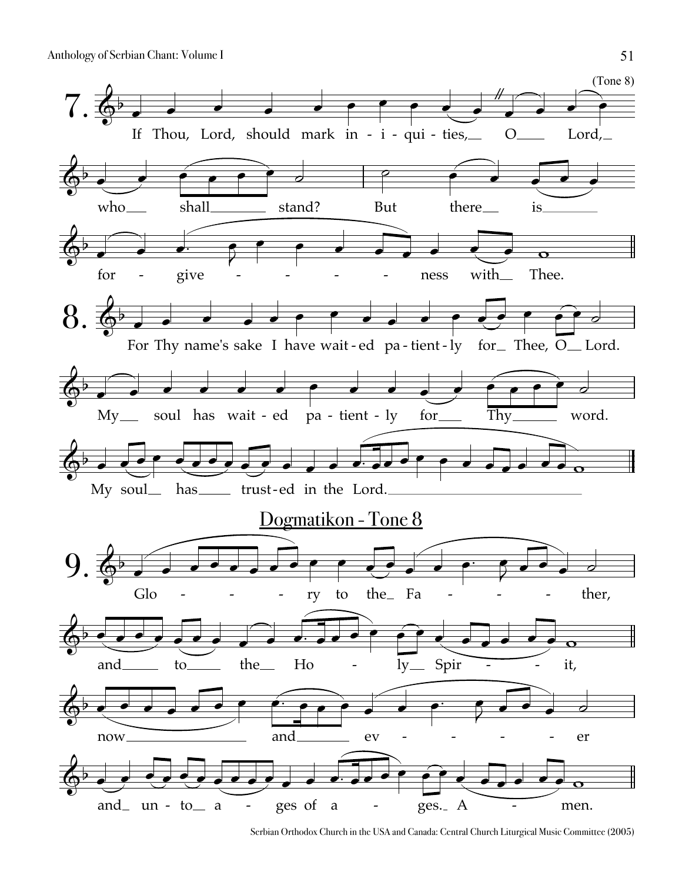

Serbian Orthodox Church in the USA and Canada: Central Church Liturgical Music Committee (2005)